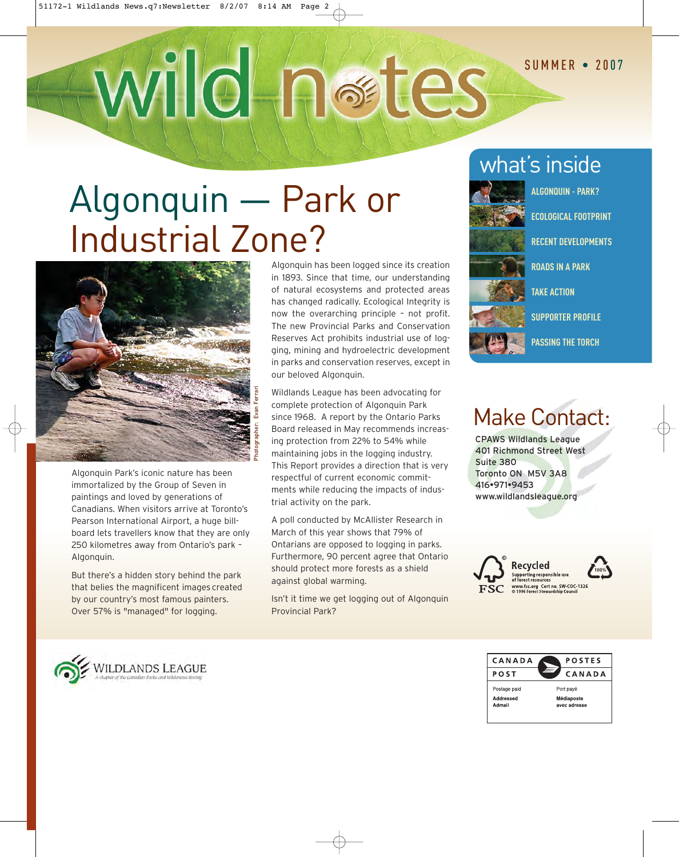# Wild **n**stes

# Algonquin — Park or Industrial Zone?

Photographer: Evan Ferrari



Algonquin Park's iconic nature has been immortalized by the Group of Seven in paintings and loved by generations of Canadians. When visitors arrive at Toronto's Pearson International Airport, a huge billboard lets travellers know that they are only 250 kilometres away from Ontario's park – Algonquin.

But there's a hidden story behind the park that belies the magnificent images created by our country's most famous painters. Over 57% is "managed" for logging.

Algonquin has been logged since its creation in 1893. Since that time, our understanding of natural ecosystems and protected areas has changed radically. Ecological Integrity is now the overarching principle – not profit. The new Provincial Parks and Conservation Reserves Act prohibits industrial use of logging, mining and hydroelectric development in parks and conservation reserves, except in our beloved Algonquin.

Wildlands League has been advocating for complete protection of Algonquin Park since 1968. A report by the Ontario Parks Board released in May recommends increasing protection from 22% to 54% while maintaining jobs in the logging industry. This Report provides a direction that is very respectful of current economic commitments while reducing the impacts of industrial activity on the park.

A poll conducted by McAllister Research in March of this year shows that 79% of Ontarians are opposed to logging in parks. Furthermore, 90 percent agree that Ontario should protect more forests as a shield against global warming.

Isn't it time we get logging out of Algonquin Provincial Park?

### what's inside



**ALGONQUIN - PARK? ECOLOGICAL FOOTPRINT RECENT DEVELOPMENTS ROADS IN A PARK TAKE ACTION SUPPORTER PROFILE PASSING THE TORCH**

## Make Contact:

CPAWS Wildlands League 401 Richmond Street West Suite 380 Toronto ON M5V 3A8 416•971•9453 www.wildlandsleague.org





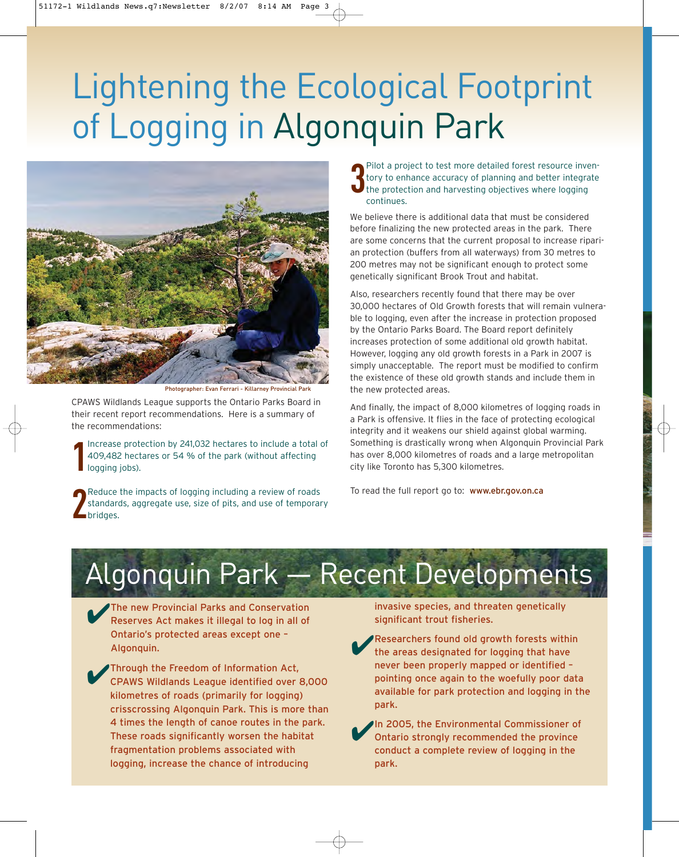# Lightening the Ecological Footprint of Logging in Algonquin Park



Photographer: Evan Ferrari - Killarney Provincial Park

CPAWS Wildlands League supports the Ontario Parks Board in their recent report recommendations. Here is a summary of the recommendations:

**1** Increase protection by 241,032 hectares to include a total of 409,482 hectares or 54 % of the park (without affecting logging jobs).

**2** Reduce the impacts of logging including a review of roads standards, aggregate use, size of pits, and use of temporary bridges.

Pilot a project to test more detailed forest resource inven-<br>tory to enhance accuracy of planning and better integrate<br>the protection and harvesting objectives where logging<br>continues tory to enhance accuracy of planning and better integrate the protection and harvesting objectives where logging continues.

We believe there is additional data that must be considered before finalizing the new protected areas in the park. There are some concerns that the current proposal to increase riparian protection (buffers from all waterways) from 30 metres to 200 metres may not be significant enough to protect some genetically significant Brook Trout and habitat.

Also, researchers recently found that there may be over 30,000 hectares of Old Growth forests that will remain vulnerable to logging, even after the increase in protection proposed by the Ontario Parks Board. The Board report definitely increases protection of some additional old growth habitat. However, logging any old growth forests in a Park in 2007 is simply unacceptable. The report must be modified to confirm the existence of these old growth stands and include them in the new protected areas.

And finally, the impact of 8,000 kilometres of logging roads in a Park is offensive. It flies in the face of protecting ecological integrity and it weakens our shield against global warming. Something is drastically wrong when Algonquin Provincial Park has over 8,000 kilometres of roads and a large metropolitan city like Toronto has 5,300 kilometres.

To read the full report go to: www.ebr.gov.on.ca

## Algonquin Park — Recent Developments

The new Provincial Parks and Conservation<br>Reserves Act makes it illegal to log in all of Ontario's protected areas except one – Algonquin.

✔Through the Freedom of Information Act, CPAWS Wildlands League identified over 8,000 kilometres of roads (primarily for logging) crisscrossing Algonquin Park. This is more than 4 times the length of canoe routes in the park. These roads significantly worsen the habitat fragmentation problems associated with logging, increase the chance of introducing

invasive species, and threaten genetically significant trout fisheries.

**Expanding 19 Researchers found old growth forests within**<br>the areas designated for logging that have never been properly mapped or identified – pointing once again to the woefully poor data available for park protection and logging in the park.

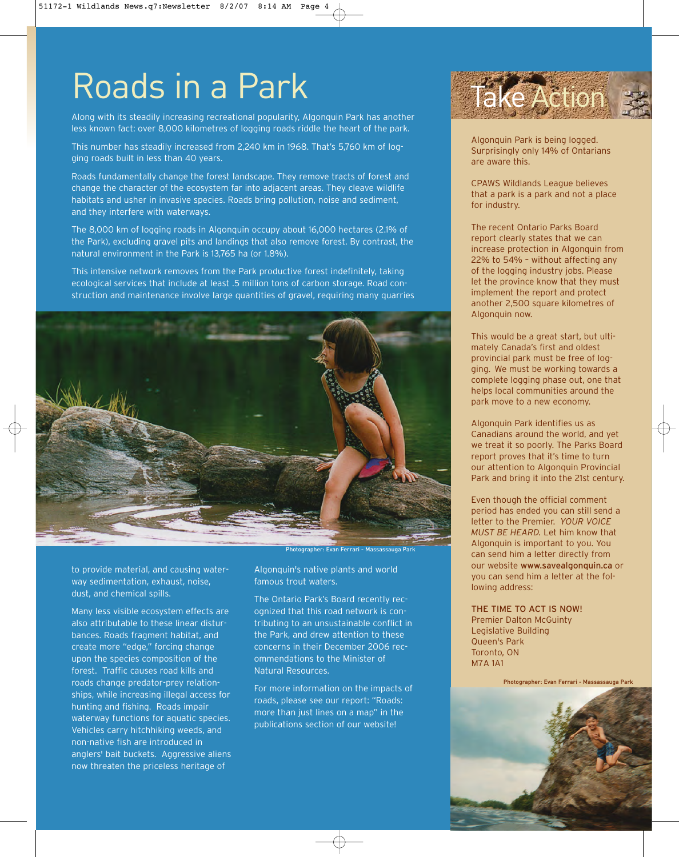# Roads in a Park

Along with its steadily increasing recreational popularity, Algonquin Park has another less known fact: over 8,000 kilometres of logging roads riddle the heart of the park.

This number has steadily increased from 2,240 km in 1968. That's 5,760 km of logging roads built in less than 40 years.

Roads fundamentally change the forest landscape. They remove tracts of forest and change the character of the ecosystem far into adjacent areas. They cleave wildlife habitats and usher in invasive species. Roads bring pollution, noise and sediment, and they interfere with waterways.

The 8,000 km of logging roads in Algonquin occupy about 16,000 hectares (2.1% of the Park), excluding gravel pits and landings that also remove forest. By contrast, the natural environment in the Park is 13,765 ha (or 1.8%).

This intensive network removes from the Park productive forest indefinitely, taking ecological services that include at least .5 million tons of carbon storage. Road construction and maintenance involve large quantities of gravel, requiring many quarries



to provide material, and causing waterway sedimentation, exhaust, noise, dust, and chemical spills.

Many less visible ecosystem effects are also attributable to these linear disturbances. Roads fragment habitat, and create more "edge," forcing change upon the species composition of the forest. Traffic causes road kills and roads change predator-prey relationships, while increasing illegal access for hunting and fishing. Roads impair waterway functions for aquatic species. Vehicles carry hitchhiking weeds, and non-native fish are introduced in anglers' bait buckets. Aggressive aliens now threaten the priceless heritage of

Photographer: Evan Ferrari - Massassauga Pa

Algonquin's native plants and world famous trout waters.

The Ontario Park's Board recently recognized that this road network is contributing to an unsustainable conflict in the Park, and drew attention to these concerns in their December 2006 recommendations to the Minister of Natural Resources.

For more information on the impacts of roads, please see our report: "Roads: more than just lines on a map" in the publications section of our website!



Algonquin Park is being logged. Surprisingly only 14% of Ontarians are aware this.

CPAWS Wildlands League believes that a park is a park and not a place for industry.

The recent Ontario Parks Board report clearly states that we can increase protection in Algonquin from 22% to 54% – without affecting any of the logging industry jobs. Please let the province know that they must implement the report and protect another 2,500 square kilometres of Algonquin now.

This would be a great start, but ultimately Canada's first and oldest provincial park must be free of logging. We must be working towards a complete logging phase out, one that helps local communities around the park move to a new economy.

Algonquin Park identifies us as Canadians around the world, and yet we treat it so poorly. The Parks Board report proves that it's time to turn our attention to Algonquin Provincial Park and bring it into the 21st century.

Even though the official comment period has ended you can still send a letter to the Premier. *YOUR VOICE MUST BE HEARD.* Let him know that Algonquin is important to you. You can send him a letter directly from our website www.savealgonquin.ca or you can send him a letter at the following address:

THE TIME TO ACT IS NOW! Premier Dalton McGuinty Legislative Building Queen's Park Toronto, ON M7A 1A1